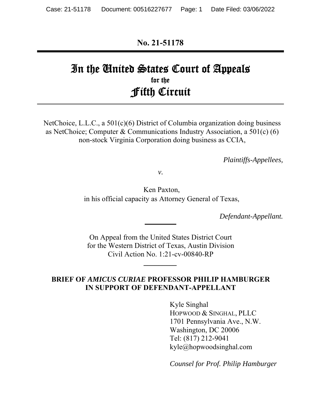**No. 21-51178** 

# In the United States Court of Appeals for the Fifth Circuit

NetChoice, L.L.C., a 501(c)(6) District of Columbia organization doing business as NetChoice; Computer & Communications Industry Association, a 501(c) (6) non-stock Virginia Corporation doing business as CCIA,

*Plaintiffs-Appellees,* 

*v.* 

Ken Paxton, in his official capacity as Attorney General of Texas,

*Defendant-Appellant.* 

On Appeal from the United States District Court for the Western District of Texas, Austin Division Civil Action No. 1:21-cv-00840-RP

*\_\_\_\_\_\_\_\_\_* 

#### **BRIEF OF** *AMICUS CURIAE* **PROFESSOR PHILIP HAMBURGER** **IN SUPPORT OF DEFENDANT-APPELLANT**

Kyle Singhal HOPWOOD & SINGHAL, PLLC 1701 Pennsylvania Ave., N.W. Washington, DC 20006 Tel: (817) 212-9041 kyle@hopwoodsinghal.com

*Counsel for Prof. Philip Hamburger*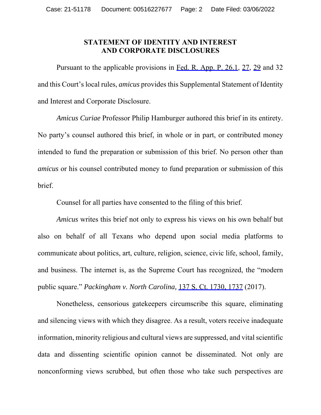#### **STATEMENT OF IDENTITY AND INTEREST AND CORPORATE DISCLOSURES**

Pursuant to the applicable provisions in Fed. R. App. P. 26.1, 27, 29 and 32 and this Court's local rules, *amicus* provides this Supplemental Statement of Identity and Interest and Corporate Disclosure.

*Amicus Curiae* Professor Philip Hamburger authored this brief in its entirety. No party's counsel authored this brief, in whole or in part, or contributed money intended to fund the preparation or submission of this brief. No person other than *amicus* or his counsel contributed money to fund preparation or submission of this brief.

Counsel for all parties have consented to the filing of this brief.

*Amicus* writes this brief not only to express his views on his own behalf but also on behalf of all Texans who depend upon social media platforms to communicate about politics, art, culture, religion, science, civic life, school, family, and business. The internet is, as the Supreme Court has recognized, the "modern public square." *Packingham v. North Carolina,* 137 S. Ct. 1730, 1737 (2017).

Nonetheless, censorious gatekeepers circumscribe this square, eliminating and silencing views with which they disagree. As a result, voters receive inadequate information, minority religious and cultural views are suppressed, and vital scientific data and dissenting scientific opinion cannot be disseminated. Not only are nonconforming views scrubbed, but often those who take such perspectives are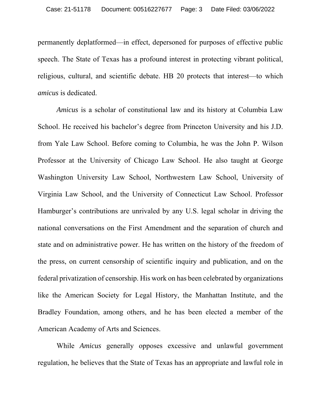permanently deplatformed—in effect, depersoned for purposes of effective public speech. The State of Texas has a profound interest in protecting vibrant political, religious, cultural, and scientific debate. HB 20 protects that interest—to which *amicus* is dedicated.

*Amicus* is a scholar of constitutional law and its history at Columbia Law School. He received his bachelor's degree from Princeton University and his J.D. from Yale Law School. Before coming to Columbia, he was the John P. Wilson Professor at the University of Chicago Law School. He also taught at George Washington University Law School, Northwestern Law School, University of Virginia Law School, and the University of Connecticut Law School. Professor Hamburger's contributions are unrivaled by any U.S. legal scholar in driving the national conversations on the First Amendment and the separation of church and state and on administrative power. He has written on the history of the freedom of the press, on current censorship of scientific inquiry and publication, and on the federal privatization of censorship. His work on has been celebrated by organizations like the American Society for Legal History, the Manhattan Institute, and the Bradley Foundation, among others, and he has been elected a member of the American Academy of Arts and Sciences.

While *Amicus* generally opposes excessive and unlawful government regulation, he believes that the State of Texas has an appropriate and lawful role in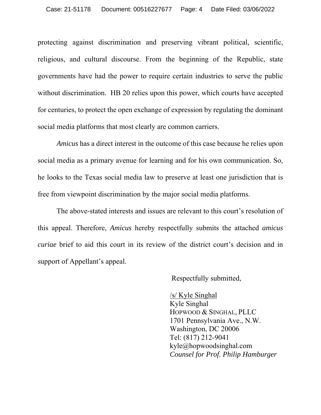protecting against discrimination and preserving vibrant political, scientific, religious, and cultural discourse. From the beginning of the Republic, state governments have had the power to require certain industries to serve the public without discrimination. HB 20 relies upon this power, which courts have accepted for centuries, to protect the open exchange of expression by regulating the dominant social media platforms that most clearly are common carriers.

*Amicus* has a direct interest in the outcome of this case because he relies upon social media as a primary avenue for learning and for his own communication. So, he looks to the Texas social media law to preserve at least one jurisdiction that is free from viewpoint discrimination by the major social media platforms.

The above-stated interests and issues are relevant to this court's resolution of this appeal. Therefore, *Amicus* hereby respectfully submits the attached *amicus curiae* brief to aid this court in its review of the district court's decision and in support of Appellant's appeal.

Respectfully submitted,

/s/ Kyle Singhal Kyle Singhal HOPWOOD & SINGHAL, PLLC 1701 Pennsylvania Ave., N.W. Washington, DC 20006 Tel: (817) 212-9041 kyle@hopwoodsinghal.com *Counsel for Prof. Philip Hamburger*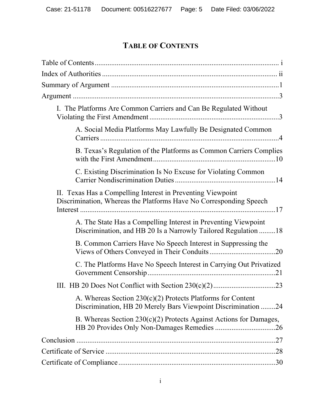# **TABLE OF CONTENTS**

| I. The Platforms Are Common Carriers and Can Be Regulated Without                                                                 |
|-----------------------------------------------------------------------------------------------------------------------------------|
| A. Social Media Platforms May Lawfully Be Designated Common                                                                       |
| B. Texas's Regulation of the Platforms as Common Carriers Complies                                                                |
| C. Existing Discrimination Is No Excuse for Violating Common                                                                      |
| II. Texas Has a Compelling Interest in Preventing Viewpoint<br>Discrimination, Whereas the Platforms Have No Corresponding Speech |
| A. The State Has a Compelling Interest in Preventing Viewpoint<br>Discrimination, and HB 20 Is a Narrowly Tailored Regulation 18  |
| B. Common Carriers Have No Speech Interest in Suppressing the                                                                     |
| C. The Platforms Have No Speech Interest in Carrying Out Privatized                                                               |
|                                                                                                                                   |
| A. Whereas Section $230(c)(2)$ Protects Platforms for Content<br>Discrimination, HB 20 Merely Bars Viewpoint Discrimination 24    |
| B. Whereas Section $230(c)(2)$ Protects Against Actions for Damages,                                                              |
|                                                                                                                                   |
|                                                                                                                                   |
|                                                                                                                                   |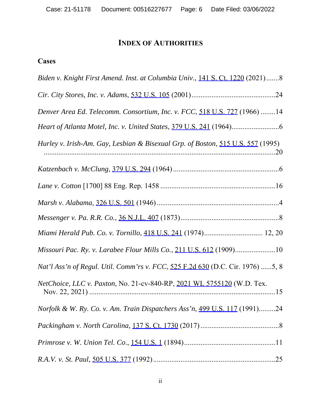# **INDEX OF AUTHORITIES**

# **Cases**

| Biden v. Knight First Amend. Inst. at Columbia Univ., 141 S. Ct. 1220 (2021)8   |
|---------------------------------------------------------------------------------|
|                                                                                 |
| Denver Area Ed. Telecomm. Consortium, Inc. v. FCC, 518 U.S. 727 (1966) 14       |
|                                                                                 |
| Hurley v. Irish-Am. Gay, Lesbian & Bisexual Grp. of Boston, 515 U.S. 557 (1995) |
|                                                                                 |
|                                                                                 |
|                                                                                 |
|                                                                                 |
| Miami Herald Pub. Co. v. Tornillo, 418 U.S. 241 (1974) 12, 20                   |
| Missouri Pac. Ry. v. Larabee Flour Mills Co., 211 U.S. 612 (1909)10             |
| Nat'l Ass'n of Regul. Util. Comm'rs v. FCC, 525 F.2d 630 (D.C. Cir. 1976) 5, 8  |
| NetChoice, LLC v. Paxton, No. 21-cv-840-RP, 2021 WL 5755120 (W.D. Tex.          |
| Norfolk & W. Ry. Co. v. Am. Train Dispatchers Ass'n, 499 U.S. 117 (1991)24      |
|                                                                                 |
|                                                                                 |
|                                                                                 |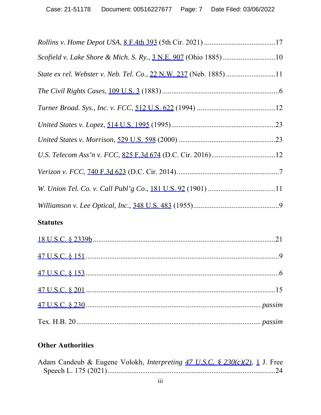# **Statutes**

# **Other Authorities**

| Adam Candeub & Eugene Volokh, <i>Interpreting 47 U.S.C. § 230(c)(2)</i> , 1 J. Free |  |  |
|-------------------------------------------------------------------------------------|--|--|
|                                                                                     |  |  |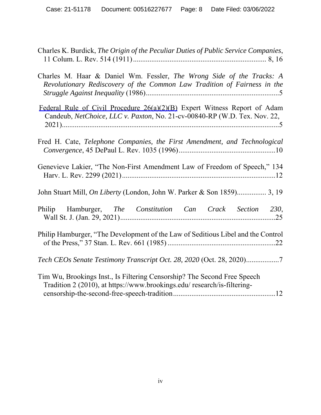| Charles K. Burdick, The Origin of the Peculiar Duties of Public Service Companies,                                                                     |
|--------------------------------------------------------------------------------------------------------------------------------------------------------|
| Charles M. Haar & Daniel Wm. Fessler, The Wrong Side of the Tracks: A<br>Revolutionary Rediscovery of the Common Law Tradition of Fairness in the      |
| Federal Rule of Civil Procedure 26(a)(2)(B) Expert Witness Report of Adam<br>Candeub, NetChoice, LLC v. Paxton, No. 21-cv-00840-RP (W.D. Tex. Nov. 22, |
| Fred H. Cate, Telephone Companies, the First Amendment, and Technological                                                                              |
| Genevieve Lakier, "The Non-First Amendment Law of Freedom of Speech," 134                                                                              |
| John Stuart Mill, On Liberty (London, John W. Parker & Son 1859) 3, 19                                                                                 |
| Philip Hamburger, The Constitution Can Crack Section 230,                                                                                              |
| Philip Hamburger, "The Development of the Law of Seditious Libel and the Control                                                                       |
| Tech CEOs Senate Testimony Transcript Oct. 28, 2020 (Oct. 28, 2020)7                                                                                   |
| Tim Wu, Brookings Inst., Is Filtering Censorship? The Second Free Speech<br>Tradition 2 (2010), at https://www.brookings.edu/ research/is-filtering-   |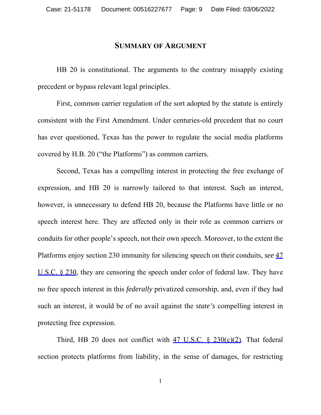#### **SUMMARY OF ARGUMENT**

HB 20 is constitutional. The arguments to the contrary misapply existing precedent or bypass relevant legal principles.

First, common carrier regulation of the sort adopted by the statute is entirely consistent with the First Amendment. Under centuries-old precedent that no court has ever questioned, Texas has the power to regulate the social media platforms covered by H.B. 20 ("the Platforms") as common carriers.

Second, Texas has a compelling interest in protecting the free exchange of expression, and HB 20 is narrowly tailored to that interest. Such an interest, however, is unnecessary to defend HB 20, because the Platforms have little or no speech interest here. They are affected only in their role as common carriers or conduits for other people's speech, not their own speech. Moreover, to the extent the Platforms enjoy section 230 immunity for silencing speech on their conduits, *see* 47 U.S.C. § 230, they are censoring the speech under color of federal law. They have no free speech interest in this *federally* privatized censorship, and, even if they had such an interest, it would be of no avail against the *state's* compelling interest in protecting free expression.

Third, HB 20 does not conflict with 47 U.S.C. § 230(c)(2). That federal section protects platforms from liability, in the sense of damages, for restricting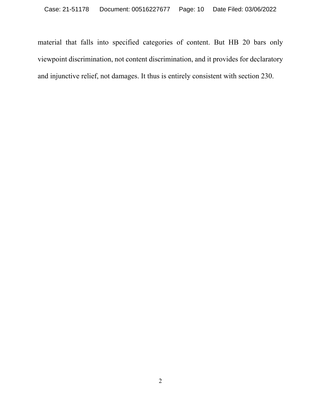material that falls into specified categories of content. But HB 20 bars only viewpoint discrimination, not content discrimination, and it provides for declaratory and injunctive relief, not damages. It thus is entirely consistent with section 230.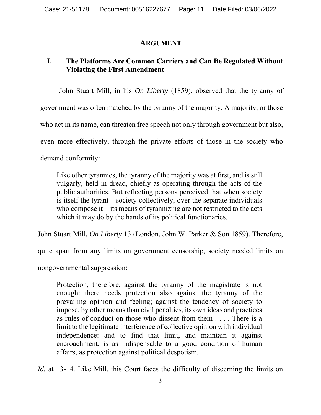#### **ARGUMENT**

### **I. The Platforms Are Common Carriers and Can Be Regulated Without Violating the First Amendment**

John Stuart Mill, in his *On Liberty* (1859), observed that the tyranny of government was often matched by the tyranny of the majority. A majority, or those who act in its name, can threaten free speech not only through government but also, even more effectively, through the private efforts of those in the society who demand conformity:

Like other tyrannies, the tyranny of the majority was at first, and is still vulgarly, held in dread, chiefly as operating through the acts of the public authorities. But reflecting persons perceived that when society is itself the tyrant—society collectively, over the separate individuals who compose it—its means of tyrannizing are not restricted to the acts which it may do by the hands of its political functionaries.

John Stuart Mill, *On Liberty* 13 (London, John W. Parker & Son 1859). Therefore,

quite apart from any limits on government censorship, society needed limits on

nongovernmental suppression:

Protection, therefore, against the tyranny of the magistrate is not enough: there needs protection also against the tyranny of the prevailing opinion and feeling; against the tendency of society to impose, by other means than civil penalties, its own ideas and practices as rules of conduct on those who dissent from them . . . . There is a limit to the legitimate interference of collective opinion with individual independence: and to find that limit, and maintain it against encroachment, is as indispensable to a good condition of human affairs, as protection against political despotism.

*Id.* at 13-14. Like Mill, this Court faces the difficulty of discerning the limits on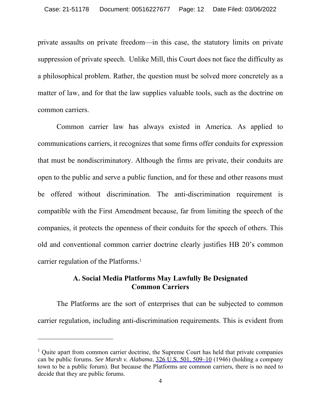private assaults on private freedom—in this case, the statutory limits on private suppression of private speech. Unlike Mill, this Court does not face the difficulty as a philosophical problem. Rather, the question must be solved more concretely as a matter of law, and for that the law supplies valuable tools, such as the doctrine on common carriers.

Common carrier law has always existed in America. As applied to communications carriers, it recognizes that some firms offer conduits for expression that must be nondiscriminatory. Although the firms are private, their conduits are open to the public and serve a public function, and for these and other reasons must be offered without discrimination. The anti-discrimination requirement is compatible with the First Amendment because, far from limiting the speech of the companies, it protects the openness of their conduits for the speech of others. This old and conventional common carrier doctrine clearly justifies HB 20's common carrier regulation of the Platforms.<sup>1</sup>

#### **A. Social Media Platforms May Lawfully Be Designated Common Carriers**

The Platforms are the sort of enterprises that can be subjected to common carrier regulation, including anti-discrimination requirements. This is evident from

<sup>&</sup>lt;sup>1</sup> Quite apart from common carrier doctrine, the Supreme Court has held that private companies can be public forums. *See Marsh v. Alabama*, 326 U.S. 501, 509–10 (1946) (holding a company town to be a public forum). But because the Platforms are common carriers, there is no need to decide that they are public forums.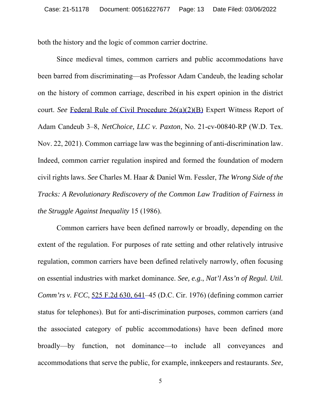both the history and the logic of common carrier doctrine.

Since medieval times, common carriers and public accommodations have been barred from discriminating—as Professor Adam Candeub, the leading scholar on the history of common carriage, described in his expert opinion in the district court. *See* Federal Rule of Civil Procedure 26(a)(2)(B) Expert Witness Report of Adam Candeub 3–8, *NetChoice, LLC v. Paxton*, No. 21-cv-00840-RP (W.D. Tex. Nov. 22, 2021). Common carriage law was the beginning of anti-discrimination law. Indeed, common carrier regulation inspired and formed the foundation of modern civil rights laws. *See* Charles M. Haar & Daniel Wm. Fessler, *The Wrong Side of the Tracks: A Revolutionary Rediscovery of the Common Law Tradition of Fairness in the Struggle Against Inequality* 15 (1986).

Common carriers have been defined narrowly or broadly, depending on the extent of the regulation. For purposes of rate setting and other relatively intrusive regulation, common carriers have been defined relatively narrowly, often focusing on essential industries with market dominance. *See, e.g.*, *Nat'l Ass'n of Regul. Util. Comm'rs v. FCC*, 525 F.2d 630, 641–45 (D.C. Cir. 1976) (defining common carrier status for telephones). But for anti-discrimination purposes, common carriers (and the associated category of public accommodations) have been defined more broadly—by function, not dominance—to include all conveyances and accommodations that serve the public, for example, innkeepers and restaurants. *See,*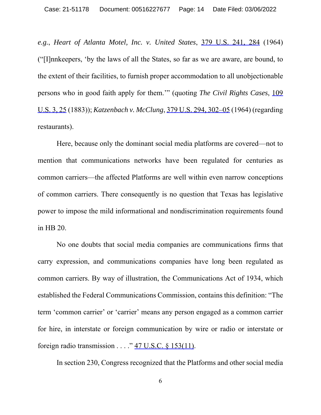*e.g.*, *Heart of Atlanta Motel, Inc. v. United States*, 379 U.S. 241, 284 (1964) ("[I]nnkeepers, 'by the laws of all the States, so far as we are aware, are bound, to the extent of their facilities, to furnish proper accommodation to all unobjectionable persons who in good faith apply for them.'" (quoting *The Civil Rights Cases*, 109 U.S. 3, 25 (1883)); *Katzenbach v. McClung*, 379 U.S. 294, 302–05 (1964) (regarding restaurants).

Here, because only the dominant social media platforms are covered—not to mention that communications networks have been regulated for centuries as common carriers—the affected Platforms are well within even narrow conceptions of common carriers. There consequently is no question that Texas has legislative power to impose the mild informational and nondiscrimination requirements found in HB 20.

No one doubts that social media companies are communications firms that carry expression, and communications companies have long been regulated as common carriers. By way of illustration, the Communications Act of 1934, which established the Federal Communications Commission, contains this definition: "The term 'common carrier' or 'carrier' means any person engaged as a common carrier for hire, in interstate or foreign communication by wire or radio or interstate or foreign radio transmission  $\ldots$  ." 47 U.S.C.  $\frac{153(11)}{20}$ .

In section 230, Congress recognized that the Platforms and other social media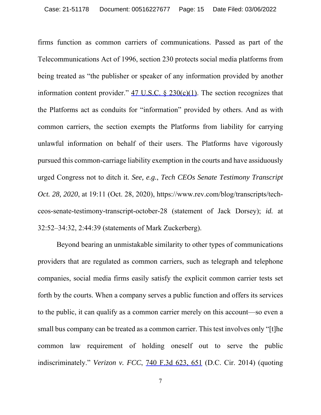firms function as common carriers of communications. Passed as part of the Telecommunications Act of 1996, section 230 protects social media platforms from being treated as "the publisher or speaker of any information provided by another information content provider."  $47 \text{ U.S.C. }$   $\& 230 \text{ (c)}(1)$ . The section recognizes that the Platforms act as conduits for "information" provided by others. And as with common carriers, the section exempts the Platforms from liability for carrying unlawful information on behalf of their users. The Platforms have vigorously pursued this common-carriage liability exemption in the courts and have assiduously urged Congress not to ditch it. *See, e.g.*, *Tech CEOs Senate Testimony Transcript Oct. 28, 2020*, at 19:11 (Oct. 28, 2020), https://www.rev.com/blog/transcripts/techceos-senate-testimony-transcript-october-28 (statement of Jack Dorsey); *id.* at 32:52–34:32, 2:44:39 (statements of Mark Zuckerberg).

Beyond bearing an unmistakable similarity to other types of communications providers that are regulated as common carriers, such as telegraph and telephone companies, social media firms easily satisfy the explicit common carrier tests set forth by the courts. When a company serves a public function and offers its services to the public, it can qualify as a common carrier merely on this account—so even a small bus company can be treated as a common carrier. This test involves only "[t]he common law requirement of holding oneself out to serve the public indiscriminately." *Verizon v. FCC*, 740 F.3d 623, 651 (D.C. Cir. 2014) (quoting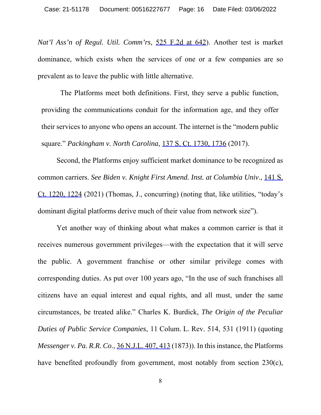*Nat'l Ass'n of Regul. Util. Comm'rs*, 525 F.2d at 642). Another test is market dominance, which exists when the services of one or a few companies are so prevalent as to leave the public with little alternative.

The Platforms meet both definitions. First, they serve a public function, providing the communications conduit for the information age, and they offer their services to anyone who opens an account. The internet is the "modern public square." *Packingham v. North Carolina*, 137 S. Ct. 1730, 1736 (2017).

Second, the Platforms enjoy sufficient market dominance to be recognized as common carriers. *See Biden v. Knight First Amend. Inst. at Columbia Univ*., 141 S. Ct. 1220, 1224 (2021) (Thomas, J., concurring) (noting that, like utilities, "today's dominant digital platforms derive much of their value from network size").

Yet another way of thinking about what makes a common carrier is that it receives numerous government privileges—with the expectation that it will serve the public. A government franchise or other similar privilege comes with corresponding duties. As put over 100 years ago, "In the use of such franchises all citizens have an equal interest and equal rights, and all must, under the same circumstances, be treated alike." Charles K. Burdick, *The Origin of the Peculiar Duties of Public Service Companies*, 11 Colum. L. Rev. 514, 531 (1911) (quoting *Messenger v. Pa. R.R. Co*., 36 N.J.L. 407, 413 (1873)). In this instance, the Platforms have benefited profoundly from government, most notably from section 230(c),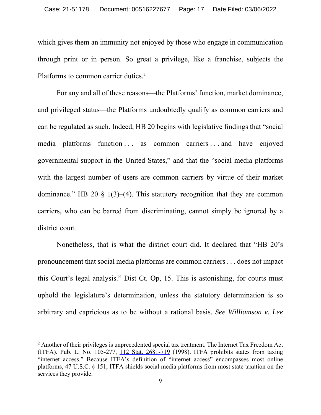which gives them an immunity not enjoyed by those who engage in communication through print or in person. So great a privilege, like a franchise, subjects the Platforms to common carrier duties.<sup>2</sup>

For any and all of these reasons—the Platforms' function, market dominance, and privileged status—the Platforms undoubtedly qualify as common carriers and can be regulated as such. Indeed, HB 20 begins with legislative findings that "social media platforms function ... as common carriers ... and have enjoyed governmental support in the United States," and that the "social media platforms with the largest number of users are common carriers by virtue of their market dominance." HB 20  $\frac{1}{3}$  1(3)–(4). This statutory recognition that they are common carriers, who can be barred from discriminating, cannot simply be ignored by a district court.

Nonetheless, that is what the district court did. It declared that "HB 20's pronouncement that social media platforms are common carriers . . . does not impact this Court's legal analysis." Dist Ct. Op, 15. This is astonishing, for courts must uphold the legislature's determination, unless the statutory determination is so arbitrary and capricious as to be without a rational basis. *See Williamson v. Lee* 

 $2$  Another of their privileges is unprecedented special tax treatment. The Internet Tax Freedom Act (ITFA). Pub. L. No. 105-277, 112 Stat. 2681-719 (1998). ITFA prohibits states from taxing "internet access." Because ITFA's definition of "internet access" encompasses most online platforms, 47 U.S.C. § 151, ITFA shields social media platforms from most state taxation on the services they provide.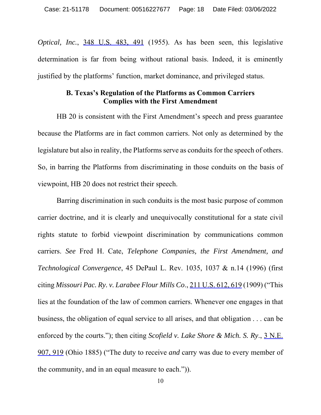*Optical, Inc.*, 348 U.S. 483, 491 (1955). As has been seen, this legislative determination is far from being without rational basis. Indeed, it is eminently justified by the platforms' function, market dominance, and privileged status.

#### **B. Texas's Regulation of the Platforms as Common Carriers Complies with the First Amendment**

HB 20 is consistent with the First Amendment's speech and press guarantee because the Platforms are in fact common carriers. Not only as determined by the legislature but also in reality, the Platforms serve as conduits for the speech of others. So, in barring the Platforms from discriminating in those conduits on the basis of viewpoint, HB 20 does not restrict their speech.

Barring discrimination in such conduits is the most basic purpose of common carrier doctrine, and it is clearly and unequivocally constitutional for a state civil rights statute to forbid viewpoint discrimination by communications common carriers. *See* Fred H. Cate, *Telephone Companies, the First Amendment, and Technological Convergence*, 45 DePaul L. Rev. 1035, 1037 & n.14 (1996) (first citing *Missouri Pac. Ry. v. Larabee Flour Mills Co*., 211 U.S. 612, 619 (1909) ("This lies at the foundation of the law of common carriers. Whenever one engages in that business, the obligation of equal service to all arises, and that obligation . . . can be enforced by the courts."); then citing *Scofield v. Lake Shore & Mich. S. Ry*., 3 N.E. 907, 919 (Ohio 1885) ("The duty to receive *and* carry was due to every member of the community, and in an equal measure to each.")).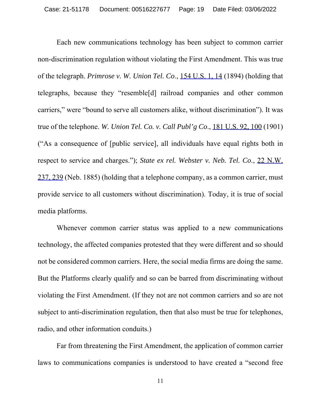Each new communications technology has been subject to common carrier non-discrimination regulation without violating the First Amendment. This was true of the telegraph. *Primrose v. W. Union Tel. Co*., 154 U.S. 1, 14 (1894) (holding that telegraphs, because they "resemble[d] railroad companies and other common carriers," were "bound to serve all customers alike, without discrimination"). It was true of the telephone. *W. Union Tel. Co. v. Call Publ'g Co*., 181 U.S. 92, 100 (1901) ("As a consequence of [public service], all individuals have equal rights both in respect to service and charges."); *State ex rel. Webster v. Neb. Tel. Co*., 22 N.W. 237, 239 (Neb. 1885) (holding that a telephone company, as a common carrier, must provide service to all customers without discrimination). Today, it is true of social media platforms.

Whenever common carrier status was applied to a new communications technology, the affected companies protested that they were different and so should not be considered common carriers. Here, the social media firms are doing the same. But the Platforms clearly qualify and so can be barred from discriminating without violating the First Amendment. (If they not are not common carriers and so are not subject to anti-discrimination regulation, then that also must be true for telephones, radio, and other information conduits.)

Far from threatening the First Amendment, the application of common carrier laws to communications companies is understood to have created a "second free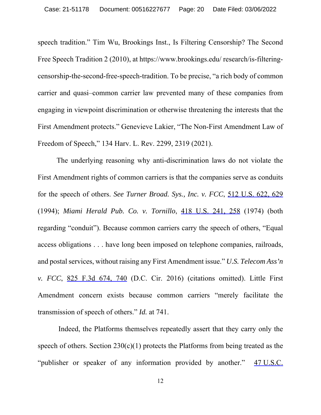speech tradition." Tim Wu, Brookings Inst., Is Filtering Censorship? The Second Free Speech Tradition 2 (2010), at https://www.brookings.edu/ research/is-filteringcensorship-the-second-free-speech-tradition. To be precise, "a rich body of common carrier and quasi–common carrier law prevented many of these companies from engaging in viewpoint discrimination or otherwise threatening the interests that the First Amendment protects." Genevieve Lakier, "The Non-First Amendment Law of Freedom of Speech," 134 Harv. L. Rev. 2299, 2319 (2021).

The underlying reasoning why anti-discrimination laws do not violate the First Amendment rights of common carriers is that the companies serve as conduits for the speech of others. *See Turner Broad. Sys., Inc. v. FCC*, 512 U.S. 622, 629 (1994); *Miami Herald Pub. Co. v. Tornillo*, 418 U.S. 241, 258 (1974) (both regarding "conduit"). Because common carriers carry the speech of others, "Equal access obligations . . . have long been imposed on telephone companies, railroads, and postal services, without raising any First Amendment issue." *U.S. Telecom Ass'n v. FCC*, 825 F.3d 674, 740 (D.C. Cir. 2016) (citations omitted). Little First Amendment concern exists because common carriers "merely facilitate the transmission of speech of others." *Id.* at 741.

 Indeed, the Platforms themselves repeatedly assert that they carry only the speech of others. Section  $230(c)(1)$  protects the Platforms from being treated as the "publisher or speaker of any information provided by another." 47 U.S.C.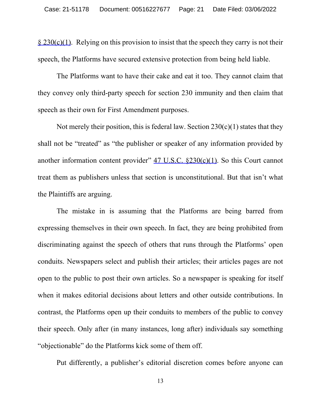$\frac{\$ 230(c)(1)}$ . Relying on this provision to insist that the speech they carry is not their speech, the Platforms have secured extensive protection from being held liable.

The Platforms want to have their cake and eat it too. They cannot claim that they convey only third-party speech for section 230 immunity and then claim that speech as their own for First Amendment purposes.

Not merely their position, this is federal law. Section  $230(c)(1)$  states that they shall not be "treated" as "the publisher or speaker of any information provided by another information content provider"  $47 \text{ U.S.C. } 8230 \text{ (c)}(1)$ . So this Court cannot treat them as publishers unless that section is unconstitutional. But that isn't what the Plaintiffs are arguing.

The mistake in is assuming that the Platforms are being barred from expressing themselves in their own speech. In fact, they are being prohibited from discriminating against the speech of others that runs through the Platforms' open conduits. Newspapers select and publish their articles; their articles pages are not open to the public to post their own articles. So a newspaper is speaking for itself when it makes editorial decisions about letters and other outside contributions. In contrast, the Platforms open up their conduits to members of the public to convey their speech. Only after (in many instances, long after) individuals say something "objectionable" do the Platforms kick some of them off.

Put differently, a publisher's editorial discretion comes before anyone can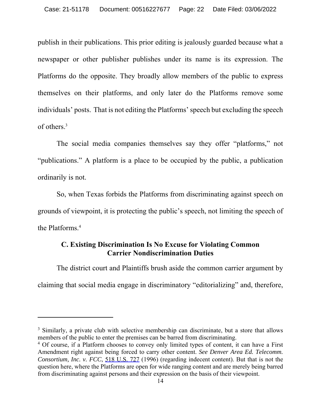publish in their publications. This prior editing is jealously guarded because what a newspaper or other publisher publishes under its name is its expression. The Platforms do the opposite. They broadly allow members of the public to express themselves on their platforms, and only later do the Platforms remove some individuals' posts. That is not editing the Platforms' speech but excluding the speech of others.3

The social media companies themselves say they offer "platforms," not "publications." A platform is a place to be occupied by the public, a publication ordinarily is not.

So, when Texas forbids the Platforms from discriminating against speech on grounds of viewpoint, it is protecting the public's speech, not limiting the speech of the Platforms.4

#### **C. Existing Discrimination Is No Excuse for Violating Common Carrier Nondiscrimination Duties**

The district court and Plaintiffs brush aside the common carrier argument by claiming that social media engage in discriminatory "editorializing" and, therefore,

<sup>&</sup>lt;sup>3</sup> Similarly, a private club with selective membership can discriminate, but a store that allows members of the public to enter the premises can be barred from discriminating.

<sup>&</sup>lt;sup>4</sup> Of course, if a Platform chooses to convey only limited types of content, it can have a First Amendment right against being forced to carry other content. *See Denver Area Ed. Telecomm. Consortium, Inc. v. FCC*, 518 U.S. 727 (1996) (regarding indecent content). But that is not the question here, where the Platforms are open for wide ranging content and are merely being barred from discriminating against persons and their expression on the basis of their viewpoint.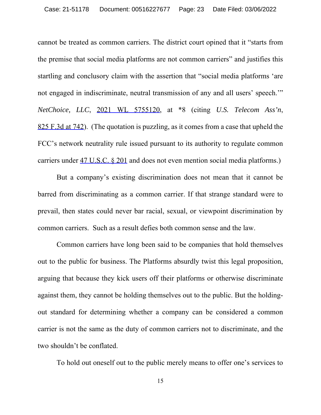cannot be treated as common carriers. The district court opined that it "starts from the premise that social media platforms are not common carriers" and justifies this startling and conclusory claim with the assertion that "social media platforms 'are not engaged in indiscriminate, neutral transmission of any and all users' speech.'" *NetChoice, LLC*, 2021 WL 5755120, at \*8 (citing *U.S. Telecom Ass'n*, 825 F.3d at 742). (The quotation is puzzling, as it comes from a case that upheld the FCC's network neutrality rule issued pursuant to its authority to regulate common carriers under 47 U.S.C. § 201 and does not even mention social media platforms.)

But a company's existing discrimination does not mean that it cannot be barred from discriminating as a common carrier. If that strange standard were to prevail, then states could never bar racial, sexual, or viewpoint discrimination by common carriers. Such as a result defies both common sense and the law.

Common carriers have long been said to be companies that hold themselves out to the public for business. The Platforms absurdly twist this legal proposition, arguing that because they kick users off their platforms or otherwise discriminate against them, they cannot be holding themselves out to the public. But the holdingout standard for determining whether a company can be considered a common carrier is not the same as the duty of common carriers not to discriminate, and the two shouldn't be conflated.

To hold out oneself out to the public merely means to offer one's services to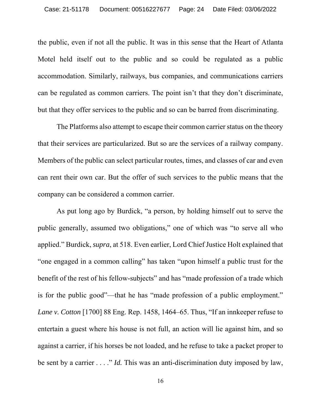the public, even if not all the public. It was in this sense that the Heart of Atlanta Motel held itself out to the public and so could be regulated as a public accommodation. Similarly, railways, bus companies, and communications carriers can be regulated as common carriers. The point isn't that they don't discriminate, but that they offer services to the public and so can be barred from discriminating.

The Platforms also attempt to escape their common carrier status on the theory that their services are particularized. But so are the services of a railway company. Members of the public can select particular routes, times, and classes of car and even can rent their own car. But the offer of such services to the public means that the company can be considered a common carrier.

As put long ago by Burdick, "a person, by holding himself out to serve the public generally, assumed two obligations," one of which was "to serve all who applied." Burdick, *supra*, at 518. Even earlier, Lord Chief Justice Holt explained that "one engaged in a common calling" has taken "upon himself a public trust for the benefit of the rest of his fellow-subjects" and has "made profession of a trade which is for the public good"—that he has "made profession of a public employment." *Lane v. Cotton* [1700] 88 Eng. Rep. 1458, 1464–65. Thus, "If an innkeeper refuse to entertain a guest where his house is not full, an action will lie against him, and so against a carrier, if his horses be not loaded, and he refuse to take a packet proper to be sent by a carrier . . . ." *Id.* This was an anti-discrimination duty imposed by law,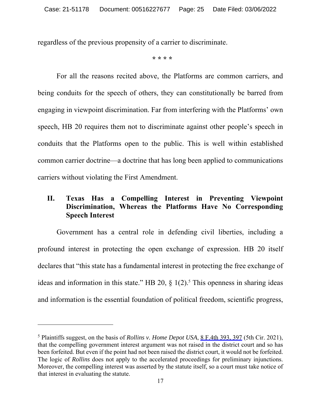regardless of the previous propensity of a carrier to discriminate.

**\* \* \* \*** 

For all the reasons recited above, the Platforms are common carriers, and being conduits for the speech of others, they can constitutionally be barred from engaging in viewpoint discrimination. Far from interfering with the Platforms' own speech, HB 20 requires them not to discriminate against other people's speech in conduits that the Platforms open to the public. This is well within established common carrier doctrine—a doctrine that has long been applied to communications carriers without violating the First Amendment.

### **II. Texas Has a Compelling Interest in Preventing Viewpoint Discrimination, Whereas the Platforms Have No Corresponding Speech Interest**

Government has a central role in defending civil liberties, including a profound interest in protecting the open exchange of expression. HB 20 itself declares that "this state has a fundamental interest in protecting the free exchange of ideas and information in this state." HB 20,  $\S$  1(2).<sup>5</sup> This openness in sharing ideas and information is the essential foundation of political freedom, scientific progress,

<sup>&</sup>lt;sup>5</sup> Plaintiffs suggest, on the basis of *Rollins v. Home Depot USA*, <u>8 F.4th 393, 397</u> (5th Cir. 2021), that the compelling government interest argument was not raised in the district court and so has been forfeited. But even if the point had not been raised the district court, it would not be forfeited. The logic of *Rollins* does not apply to the accelerated proceedings for preliminary injunctions. Moreover, the compelling interest was asserted by the statute itself, so a court must take notice of that interest in evaluating the statute.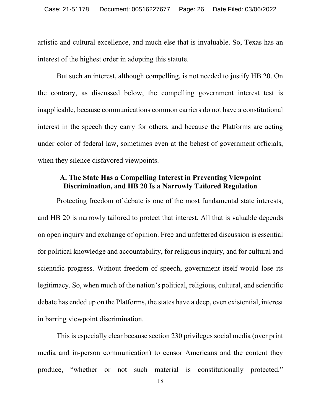artistic and cultural excellence, and much else that is invaluable. So, Texas has an interest of the highest order in adopting this statute.

But such an interest, although compelling, is not needed to justify HB 20. On the contrary, as discussed below, the compelling government interest test is inapplicable, because communications common carriers do not have a constitutional interest in the speech they carry for others, and because the Platforms are acting under color of federal law, sometimes even at the behest of government officials, when they silence disfavored viewpoints.

#### **A. The State Has a Compelling Interest in Preventing Viewpoint Discrimination, and HB 20 Is a Narrowly Tailored Regulation**

Protecting freedom of debate is one of the most fundamental state interests, and HB 20 is narrowly tailored to protect that interest. All that is valuable depends on open inquiry and exchange of opinion. Free and unfettered discussion is essential for political knowledge and accountability, for religious inquiry, and for cultural and scientific progress. Without freedom of speech, government itself would lose its legitimacy. So, when much of the nation's political, religious, cultural, and scientific debate has ended up on the Platforms, the states have a deep, even existential, interest in barring viewpoint discrimination.

This is especially clear because section 230 privileges social media (over print media and in-person communication) to censor Americans and the content they produce, "whether or not such material is constitutionally protected."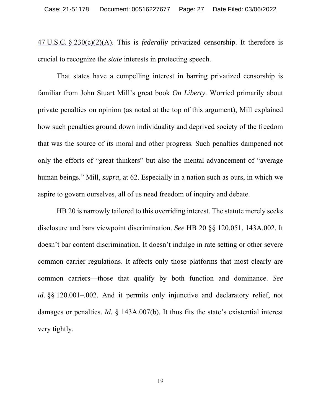47 U.S.C. § 230(c)(2)(A). This is *federally* privatized censorship. It therefore is crucial to recognize the *state* interests in protecting speech.

That states have a compelling interest in barring privatized censorship is familiar from John Stuart Mill's great book *On Liberty*. Worried primarily about private penalties on opinion (as noted at the top of this argument), Mill explained how such penalties ground down individuality and deprived society of the freedom that was the source of its moral and other progress. Such penalties dampened not only the efforts of "great thinkers" but also the mental advancement of "average human beings." Mill, *supra*, at 62. Especially in a nation such as ours, in which we aspire to govern ourselves, all of us need freedom of inquiry and debate.

HB 20 is narrowly tailored to this overriding interest. The statute merely seeks disclosure and bars viewpoint discrimination. *See* HB 20 §§ 120.051, 143A.002. It doesn't bar content discrimination. It doesn't indulge in rate setting or other severe common carrier regulations. It affects only those platforms that most clearly are common carriers—those that qualify by both function and dominance. *See id.* §§ 120.001–.002. And it permits only injunctive and declaratory relief, not damages or penalties. *Id.* § 143A.007(b). It thus fits the state's existential interest very tightly.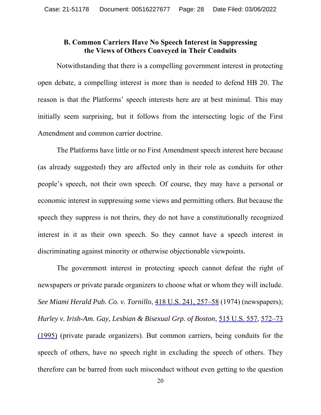### **B. Common Carriers Have No Speech Interest in Suppressing the Views of Others Conveyed in Their Conduits**

Notwithstanding that there is a compelling government interest in protecting open debate, a compelling interest is more than is needed to defend HB 20. The reason is that the Platforms' speech interests here are at best minimal. This may initially seem surprising, but it follows from the intersecting logic of the First Amendment and common carrier doctrine.

The Platforms have little or no First Amendment speech interest here because (as already suggested) they are affected only in their role as conduits for other people's speech, not their own speech. Of course, they may have a personal or economic interest in suppressing some views and permitting others. But because the speech they suppress is not theirs, they do not have a constitutionally recognized interest in it as their own speech. So they cannot have a speech interest in discriminating against minority or otherwise objectionable viewpoints.

The government interest in protecting speech cannot defeat the right of newspapers or private parade organizers to choose what or whom they will include. *See Miami Herald Pub. Co. v. Tornillo*, 418 U.S. 241, 257–58 (1974) (newspapers); *Hurley v. Irish-Am. Gay, Lesbian & Bisexual Grp. of Boston*, 515 U.S. 557, 572–73 (1995) (private parade organizers). But common carriers, being conduits for the speech of others, have no speech right in excluding the speech of others. They therefore can be barred from such misconduct without even getting to the question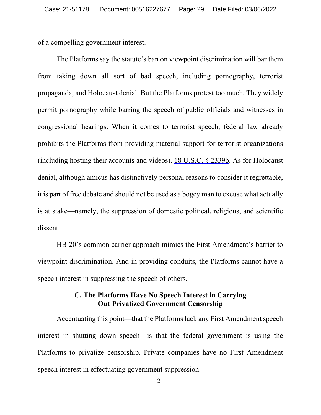of a compelling government interest.

The Platforms say the statute's ban on viewpoint discrimination will bar them from taking down all sort of bad speech, including pornography, terrorist propaganda, and Holocaust denial. But the Platforms protest too much. They widely permit pornography while barring the speech of public officials and witnesses in congressional hearings. When it comes to terrorist speech, federal law already prohibits the Platforms from providing material support for terrorist organizations (including hosting their accounts and videos). 18 U.S.C. § 2339b. As for Holocaust denial, although amicus has distinctively personal reasons to consider it regrettable, it is part of free debate and should not be used as a bogey man to excuse what actually is at stake—namely, the suppression of domestic political, religious, and scientific dissent.

HB 20's common carrier approach mimics the First Amendment's barrier to viewpoint discrimination. And in providing conduits, the Platforms cannot have a speech interest in suppressing the speech of others.

#### **C. The Platforms Have No Speech Interest in Carrying Out Privatized Government Censorship**

Accentuating this point—that the Platforms lack any First Amendment speech interest in shutting down speech—is that the federal government is using the Platforms to privatize censorship. Private companies have no First Amendment speech interest in effectuating government suppression.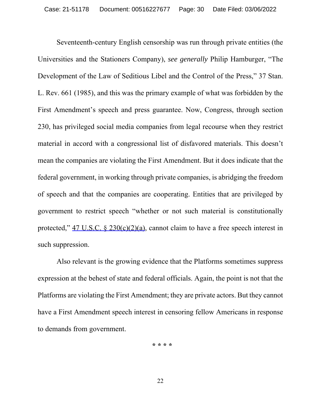Seventeenth-century English censorship was run through private entities (the Universities and the Stationers Company), *see generally* Philip Hamburger, "The Development of the Law of Seditious Libel and the Control of the Press," 37 Stan. L. Rev. 661 (1985), and this was the primary example of what was forbidden by the First Amendment's speech and press guarantee. Now, Congress, through section 230, has privileged social media companies from legal recourse when they restrict material in accord with a congressional list of disfavored materials. This doesn't mean the companies are violating the First Amendment. But it does indicate that the federal government, in working through private companies, is abridging the freedom of speech and that the companies are cooperating. Entities that are privileged by government to restrict speech "whether or not such material is constitutionally protected," 47 U.S.C. § 230(c)(2)(a), cannot claim to have a free speech interest in such suppression.

Also relevant is the growing evidence that the Platforms sometimes suppress expression at the behest of state and federal officials. Again, the point is not that the Platforms are violating the First Amendment; they are private actors. But they cannot have a First Amendment speech interest in censoring fellow Americans in response to demands from government.

**\* \* \* \***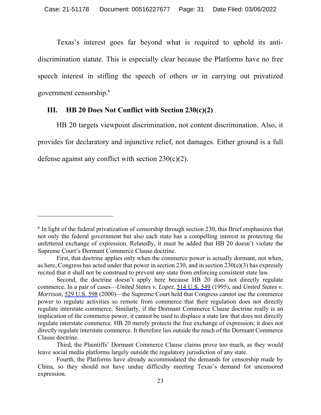Texas's interest goes far beyond what is required to uphold its antidiscrimination statute. This is especially clear because the Platforms have no free speech interest in stifling the speech of others or in carrying out privatized government censorship.6

#### **III. HB 20 Does Not Conflict with Section 230(c)(2)**

HB 20 targets viewpoint discrimination, not content discrimination. Also, it provides for declaratory and injunctive relief, not damages. Either ground is a full defense against any conflict with section  $230(c)(2)$ .

 $6$  In light of the federal privatization of censorship through section 230, this Brief emphasizes that not only the federal government but also each state has a compelling interest in protecting the unfettered exchange of expression. Relatedly, it must be added that HB 20 doesn't violate the Supreme Court's Dormant Commerce Clause doctrine.

First, that doctrine applies only when the commerce power is actually dormant, not when, as here, Congress has acted under that power in section 230, and in section 230(e)(3) has expressly recited that it shall not be construed to prevent any state from enforcing consistent state law.

Second, the doctrine doesn't apply here because HB 20 does not directly regulate commerce. In a pair of cases—*United States v. Lopez*, 514 U.S. 549 (1995), and *United States v. Morrison*, 529 U.S. 598 (2000)—the Supreme Court held that Congress cannot use the commerce power to regulate activities so remote from commerce that their regulation does not directly regulate interstate commerce. Similarly, if the Dormant Commerce Clause doctrine really is an implication of the commerce power, it cannot be used to displace a state law that does not directly regulate interstate commerce. HB 20 merely protects the free exchange of expression; it does not directly regulate interstate commerce. It therefore lies outside the reach of the Dormant Commerce Clause doctrine.

Third, the Plaintiffs' Dormant Commerce Clause claims prove too much, as they would leave social media platforms largely outside the regulatory jurisdiction of any state.

Fourth, the Platforms have already accommodated the demands for censorship made by China, so they should not have undue difficulty meeting Texas's demand for uncensored expression.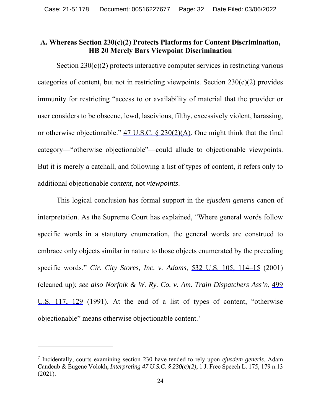#### **A. Whereas Section 230(c)(2) Protects Platforms for Content Discrimination, HB 20 Merely Bars Viewpoint Discrimination**

Section  $230(c)(2)$  protects interactive computer services in restricting various categories of content, but not in restricting viewpoints. Section  $230(c)(2)$  provides immunity for restricting "access to or availability of material that the provider or user considers to be obscene, lewd, lascivious, filthy, excessively violent, harassing, or otherwise objectionable."  $47 \text{ U.S.C.}$  §  $230(2)(\text{A})$ . One might think that the final category—"otherwise objectionable"—could allude to objectionable viewpoints. But it is merely a catchall, and following a list of types of content, it refers only to additional objectionable *content*, not *viewpoints*.

This logical conclusion has formal support in the *ejusdem generis* canon of interpretation. As the Supreme Court has explained, "Where general words follow specific words in a statutory enumeration, the general words are construed to embrace only objects similar in nature to those objects enumerated by the preceding specific words." *Cir. City Stores, Inc. v. Adams*, 532 U.S. 105, 114–15 (2001) (cleaned up); *see also Norfolk & W. Ry. Co. v. Am. Train Dispatchers Ass'n*, 499 U.S. 117, 129 (1991). At the end of a list of types of content, "otherwise objectionable" means otherwise objectionable content.7

<sup>7</sup> Incidentally, courts examining section 230 have tended to rely upon *ejusdem generis*. Adam Candeub & Eugene Volokh, *Interpreting 47 U.S.C. § 230(c)(2)*, 1 J. Free Speech L. 175, 179 n.13 (2021).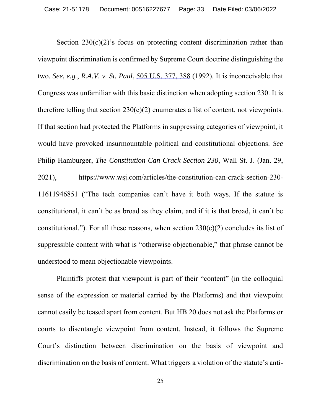Section  $230(c)(2)$ 's focus on protecting content discrimination rather than viewpoint discrimination is confirmed by Supreme Court doctrine distinguishing the two. *See, e.g.*, *R.A.V. v. St. Paul*, 505 U.S. 377, 388 (1992). It is inconceivable that Congress was unfamiliar with this basic distinction when adopting section 230. It is therefore telling that section  $230(c)(2)$  enumerates a list of content, not viewpoints. If that section had protected the Platforms in suppressing categories of viewpoint, it would have provoked insurmountable political and constitutional objections. *See* Philip Hamburger, *The Constitution Can Crack Section 230*, Wall St. J. (Jan. 29, 2021), https://www.wsj.com/articles/the-constitution-can-crack-section-230- 11611946851 ("The tech companies can't have it both ways. If the statute is constitutional, it can't be as broad as they claim, and if it is that broad, it can't be constitutional."). For all these reasons, when section  $230(c)(2)$  concludes its list of suppressible content with what is "otherwise objectionable," that phrase cannot be understood to mean objectionable viewpoints.

Plaintiffs protest that viewpoint is part of their "content" (in the colloquial sense of the expression or material carried by the Platforms) and that viewpoint cannot easily be teased apart from content. But HB 20 does not ask the Platforms or courts to disentangle viewpoint from content. Instead, it follows the Supreme Court's distinction between discrimination on the basis of viewpoint and discrimination on the basis of content. What triggers a violation of the statute's anti-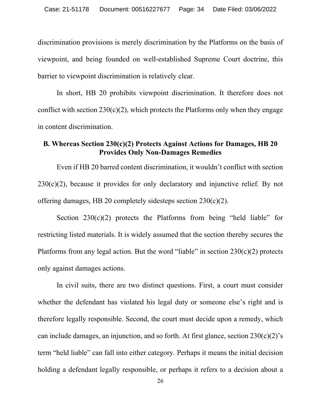discrimination provisions is merely discrimination by the Platforms on the basis of viewpoint, and being founded on well-established Supreme Court doctrine, this barrier to viewpoint discrimination is relatively clear.

In short, HB 20 prohibits viewpoint discrimination. It therefore does not conflict with section  $230(c)(2)$ , which protects the Platforms only when they engage in content discrimination.

# **B. Whereas Section 230(c)(2) Protects Against Actions for Damages, HB 20 Provides Only Non-Damages Remedies**

Even if HB 20 barred content discrimination, it wouldn't conflict with section  $230(c)(2)$ , because it provides for only declaratory and injunctive relief. By not offering damages, HB 20 completely sidesteps section 230(c)(2).

Section  $230(c)(2)$  protects the Platforms from being "held liable" for restricting listed materials. It is widely assumed that the section thereby secures the Platforms from any legal action. But the word "liable" in section  $230(c)(2)$  protects only against damages actions.

In civil suits, there are two distinct questions. First, a court must consider whether the defendant has violated his legal duty or someone else's right and is therefore legally responsible. Second, the court must decide upon a remedy, which can include damages, an injunction, and so forth. At first glance, section  $230(c)(2)$ 's term "held liable" can fall into either category. Perhaps it means the initial decision holding a defendant legally responsible, or perhaps it refers to a decision about a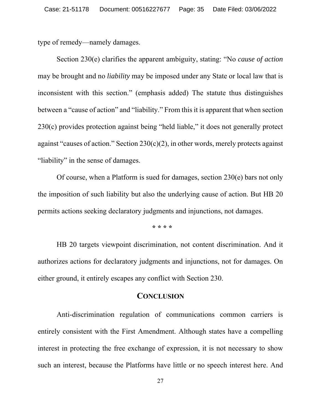type of remedy—namely damages.

Section 230(e) clarifies the apparent ambiguity, stating: "No *cause of action* may be brought and no *liability* may be imposed under any State or local law that is inconsistent with this section." (emphasis added) The statute thus distinguishes between a "cause of action" and "liability." From this it is apparent that when section 230(c) provides protection against being "held liable," it does not generally protect against "causes of action." Section  $230(c)(2)$ , in other words, merely protects against "liability" in the sense of damages.

Of course, when a Platform is sued for damages, section 230(e) bars not only the imposition of such liability but also the underlying cause of action. But HB 20 permits actions seeking declaratory judgments and injunctions, not damages.

**\* \* \* \*** 

HB 20 targets viewpoint discrimination, not content discrimination. And it authorizes actions for declaratory judgments and injunctions, not for damages. On either ground, it entirely escapes any conflict with Section 230.

#### **CONCLUSION**

Anti-discrimination regulation of communications common carriers is entirely consistent with the First Amendment. Although states have a compelling interest in protecting the free exchange of expression, it is not necessary to show such an interest, because the Platforms have little or no speech interest here. And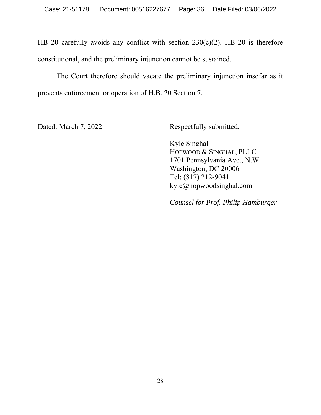HB 20 carefully avoids any conflict with section 230(c)(2). HB 20 is therefore constitutional, and the preliminary injunction cannot be sustained.

The Court therefore should vacate the preliminary injunction insofar as it prevents enforcement or operation of H.B. 20 Section 7.

Dated: March 7, 2022 Respectfully submitted,

Kyle Singhal HOPWOOD & SINGHAL, PLLC 1701 Pennsylvania Ave., N.W. Washington, DC 20006 Tel: (817) 212-9041 kyle@hopwoodsinghal.com

*Counsel for Prof. Philip Hamburger*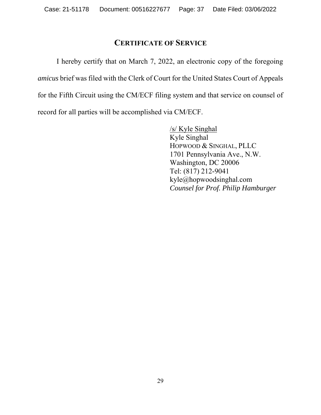# **CERTIFICATE OF SERVICE**

I hereby certify that on March 7, 2022, an electronic copy of the foregoing *amicus* brief was filed with the Clerk of Court for the United States Court of Appeals for the Fifth Circuit using the CM/ECF filing system and that service on counsel of record for all parties will be accomplished via CM/ECF.

> /s/ Kyle Singhal Kyle Singhal HOPWOOD & SINGHAL, PLLC 1701 Pennsylvania Ave., N.W. Washington, DC 20006 Tel: (817) 212-9041 kyle@hopwoodsinghal.com *Counsel for Prof. Philip Hamburger*